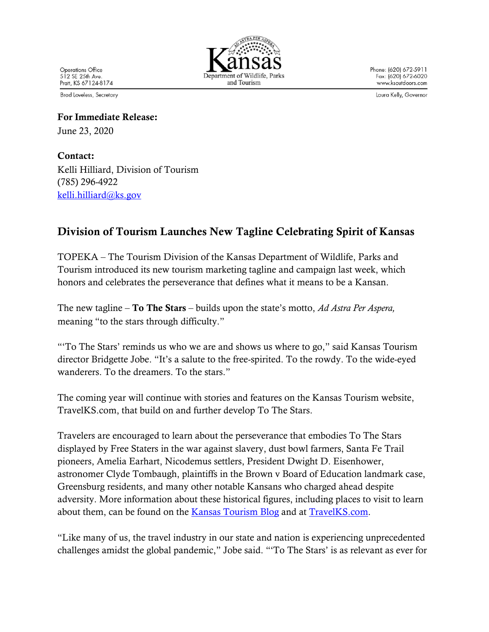**Operations Office** 512 SE 25th Ave. Pratt, KS 67124-8174 and Tourism

Phone: (620) 672-5911 Fax: (620) 672-6020 www.ksoutdoors.com

Laura Kelly, Governor

**Brad Loveless, Secretary** 

For Immediate Release: June 23, 2020

Contact: Kelli Hilliard, Division of Tourism (785) 296-4922 kelli.hilliard@ks.gov

## Division of Tourism Launches New Tagline Celebrating Spirit of Kansas

TOPEKA – The Tourism Division of the Kansas Department of Wildlife, Parks and Tourism introduced its new tourism marketing tagline and campaign last week, which honors and celebrates the perseverance that defines what it means to be a Kansan.

The new tagline – To The Stars – builds upon the state's motto, *Ad Astra Per Aspera,*  meaning "to the stars through difficulty."

"'To The Stars' reminds us who we are and shows us where to go," said Kansas Tourism director Bridgette Jobe. "It's a salute to the free-spirited. To the rowdy. To the wide-eyed wanderers. To the dreamers. To the stars."

The coming year will continue with stories and features on the Kansas Tourism website, TravelKS.com, that build on and further develop To The Stars.

Travelers are encouraged to learn about the perseverance that embodies To The Stars displayed by Free Staters in the war against slavery, dust bowl farmers, Santa Fe Trail pioneers, Amelia Earhart, Nicodemus settlers, President Dwight D. Eisenhower, astronomer Clyde Tombaugh, plaintiffs in the Brown v Board of Education landmark case, Greensburg residents, and many other notable Kansans who charged ahead despite adversity. More information about these historical figures, including places to visit to learn about them, can be found on the Kansas Tourism Blog and at TravelKS.com.

"Like many of us, the travel industry in our state and nation is experiencing unprecedented challenges amidst the global pandemic," Jobe said. "'To The Stars' is as relevant as ever for